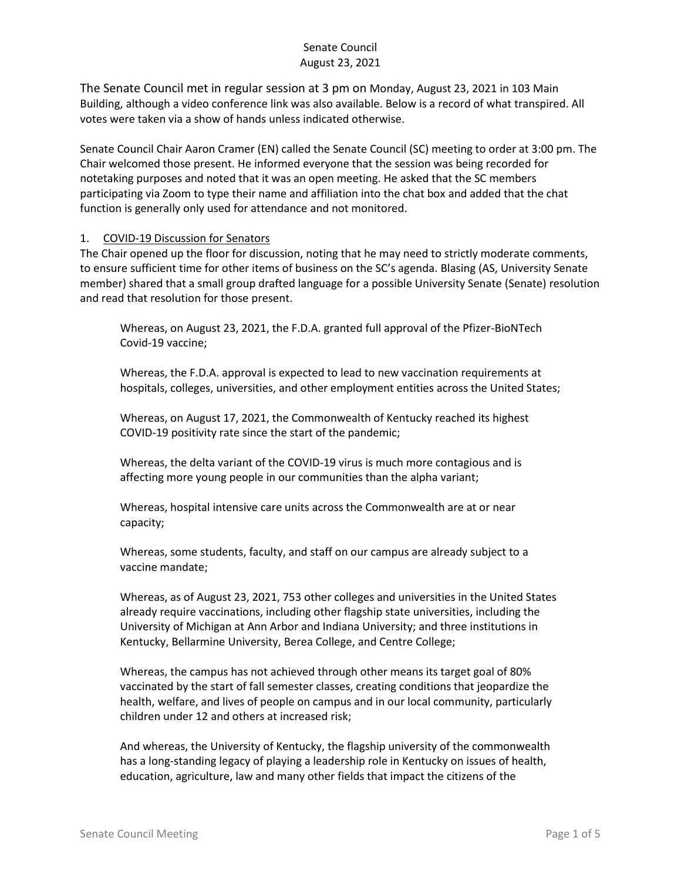The Senate Council met in regular session at 3 pm on Monday, August 23, 2021 in 103 Main Building, although a video conference link was also available. Below is a record of what transpired. All votes were taken via a show of hands unless indicated otherwise.

Senate Council Chair Aaron Cramer (EN) called the Senate Council (SC) meeting to order at 3:00 pm. The Chair welcomed those present. He informed everyone that the session was being recorded for notetaking purposes and noted that it was an open meeting. He asked that the SC members participating via Zoom to type their name and affiliation into the chat box and added that the chat function is generally only used for attendance and not monitored.

#### 1. COVID-19 Discussion for Senators

The Chair opened up the floor for discussion, noting that he may need to strictly moderate comments, to ensure sufficient time for other items of business on the SC's agenda. Blasing (AS, University Senate member) shared that a small group drafted language for a possible University Senate (Senate) resolution and read that resolution for those present.

Whereas, on August 23, 2021, the F.D.A. granted full approval of the Pfizer-BioNTech Covid-19 vaccine;

Whereas, the F.D.A. approval is expected to lead to new vaccination requirements at hospitals, colleges, universities, and other employment entities across the United States;

Whereas, on August 17, 2021, the Commonwealth of Kentucky reached its highest COVID-19 positivity rate since the start of the pandemic;

Whereas, the delta variant of the COVID-19 virus is much more contagious and is affecting more young people in our communities than the alpha variant;

Whereas, hospital intensive care units across the Commonwealth are at or near capacity;

Whereas, some students, faculty, and staff on our campus are already subject to a vaccine mandate;

Whereas, as of August 23, 2021, 753 other colleges and universities in the United States already require vaccinations, including other flagship state universities, including the University of Michigan at Ann Arbor and Indiana University; and three institutions in Kentucky, Bellarmine University, Berea College, and Centre College;

Whereas, the campus has not achieved through other means its target goal of 80% vaccinated by the start of fall semester classes, creating conditions that jeopardize the health, welfare, and lives of people on campus and in our local community, particularly children under 12 and others at increased risk;

And whereas, the University of Kentucky, the flagship university of the commonwealth has a long-standing legacy of playing a leadership role in Kentucky on issues of health, education, agriculture, law and many other fields that impact the citizens of the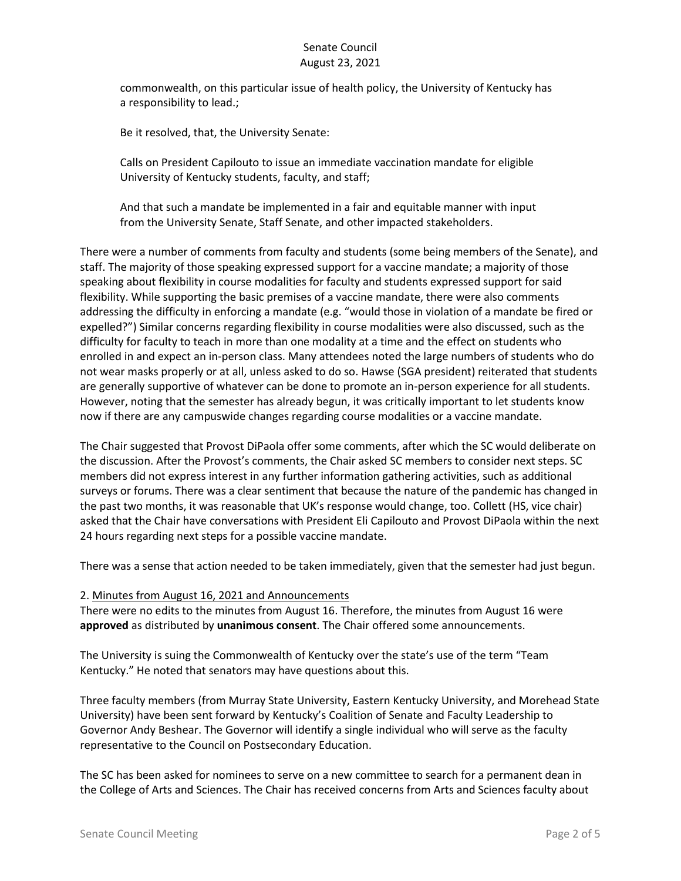commonwealth, on this particular issue of health policy, the University of Kentucky has a responsibility to lead.;

Be it resolved, that, the University Senate:

Calls on President Capilouto to issue an immediate vaccination mandate for eligible University of Kentucky students, faculty, and staff;

And that such a mandate be implemented in a fair and equitable manner with input from the University Senate, Staff Senate, and other impacted stakeholders.

There were a number of comments from faculty and students (some being members of the Senate), and staff. The majority of those speaking expressed support for a vaccine mandate; a majority of those speaking about flexibility in course modalities for faculty and students expressed support for said flexibility. While supporting the basic premises of a vaccine mandate, there were also comments addressing the difficulty in enforcing a mandate (e.g. "would those in violation of a mandate be fired or expelled?") Similar concerns regarding flexibility in course modalities were also discussed, such as the difficulty for faculty to teach in more than one modality at a time and the effect on students who enrolled in and expect an in-person class. Many attendees noted the large numbers of students who do not wear masks properly or at all, unless asked to do so. Hawse (SGA president) reiterated that students are generally supportive of whatever can be done to promote an in-person experience for all students. However, noting that the semester has already begun, it was critically important to let students know now if there are any campuswide changes regarding course modalities or a vaccine mandate.

The Chair suggested that Provost DiPaola offer some comments, after which the SC would deliberate on the discussion. After the Provost's comments, the Chair asked SC members to consider next steps. SC members did not express interest in any further information gathering activities, such as additional surveys or forums. There was a clear sentiment that because the nature of the pandemic has changed in the past two months, it was reasonable that UK's response would change, too. Collett (HS, vice chair) asked that the Chair have conversations with President Eli Capilouto and Provost DiPaola within the next 24 hours regarding next steps for a possible vaccine mandate.

There was a sense that action needed to be taken immediately, given that the semester had just begun.

#### 2. Minutes from August 16, 2021 and Announcements

There were no edits to the minutes from August 16. Therefore, the minutes from August 16 were **approved** as distributed by **unanimous consent**. The Chair offered some announcements.

The University is suing the Commonwealth of Kentucky over the state's use of the term "Team Kentucky." He noted that senators may have questions about this.

Three faculty members (from Murray State University, Eastern Kentucky University, and Morehead State University) have been sent forward by Kentucky's Coalition of Senate and Faculty Leadership to Governor Andy Beshear. The Governor will identify a single individual who will serve as the faculty representative to the Council on Postsecondary Education.

The SC has been asked for nominees to serve on a new committee to search for a permanent dean in the College of Arts and Sciences. The Chair has received concerns from Arts and Sciences faculty about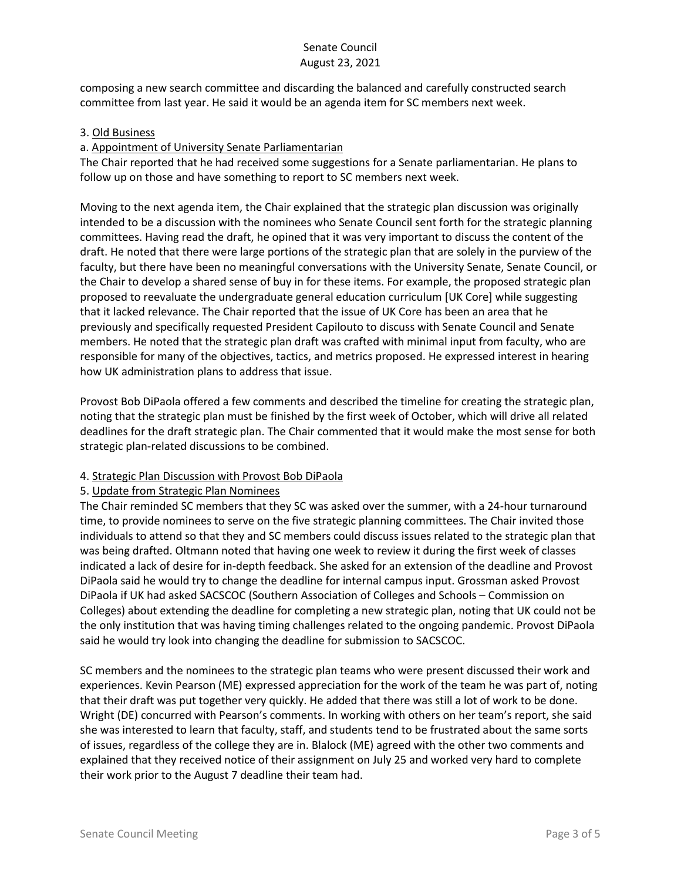composing a new search committee and discarding the balanced and carefully constructed search committee from last year. He said it would be an agenda item for SC members next week.

#### 3. Old Business

## a. Appointment of University Senate Parliamentarian

The Chair reported that he had received some suggestions for a Senate parliamentarian. He plans to follow up on those and have something to report to SC members next week.

Moving to the next agenda item, the Chair explained that the strategic plan discussion was originally intended to be a discussion with the nominees who Senate Council sent forth for the strategic planning committees. Having read the draft, he opined that it was very important to discuss the content of the draft. He noted that there were large portions of the strategic plan that are solely in the purview of the faculty, but there have been no meaningful conversations with the University Senate, Senate Council, or the Chair to develop a shared sense of buy in for these items. For example, the proposed strategic plan proposed to reevaluate the undergraduate general education curriculum [UK Core] while suggesting that it lacked relevance. The Chair reported that the issue of UK Core has been an area that he previously and specifically requested President Capilouto to discuss with Senate Council and Senate members. He noted that the strategic plan draft was crafted with minimal input from faculty, who are responsible for many of the objectives, tactics, and metrics proposed. He expressed interest in hearing how UK administration plans to address that issue.

Provost Bob DiPaola offered a few comments and described the timeline for creating the strategic plan, noting that the strategic plan must be finished by the first week of October, which will drive all related deadlines for the draft strategic plan. The Chair commented that it would make the most sense for both strategic plan-related discussions to be combined.

#### 4. Strategic Plan Discussion with Provost Bob DiPaola

#### 5. Update from Strategic Plan Nominees

The Chair reminded SC members that they SC was asked over the summer, with a 24-hour turnaround time, to provide nominees to serve on the five strategic planning committees. The Chair invited those individuals to attend so that they and SC members could discuss issues related to the strategic plan that was being drafted. Oltmann noted that having one week to review it during the first week of classes indicated a lack of desire for in-depth feedback. She asked for an extension of the deadline and Provost DiPaola said he would try to change the deadline for internal campus input. Grossman asked Provost DiPaola if UK had asked SACSCOC (Southern Association of Colleges and Schools – Commission on Colleges) about extending the deadline for completing a new strategic plan, noting that UK could not be the only institution that was having timing challenges related to the ongoing pandemic. Provost DiPaola said he would try look into changing the deadline for submission to SACSCOC.

SC members and the nominees to the strategic plan teams who were present discussed their work and experiences. Kevin Pearson (ME) expressed appreciation for the work of the team he was part of, noting that their draft was put together very quickly. He added that there was still a lot of work to be done. Wright (DE) concurred with Pearson's comments. In working with others on her team's report, she said she was interested to learn that faculty, staff, and students tend to be frustrated about the same sorts of issues, regardless of the college they are in. Blalock (ME) agreed with the other two comments and explained that they received notice of their assignment on July 25 and worked very hard to complete their work prior to the August 7 deadline their team had.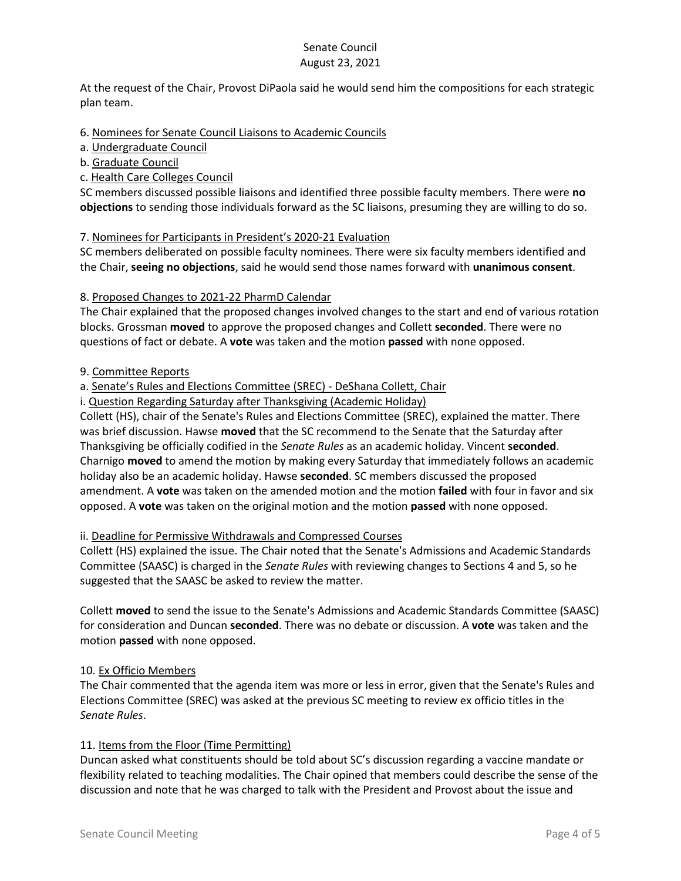At the request of the Chair, Provost DiPaola said he would send him the compositions for each strategic plan team.

### 6. Nominees for Senate Council Liaisons to Academic Councils

a. Undergraduate Council

#### b. Graduate Council

c. Health Care Colleges Council

SC members discussed possible liaisons and identified three possible faculty members. There were **no objections** to sending those individuals forward as the SC liaisons, presuming they are willing to do so.

### 7. Nominees for Participants in President's 2020-21 Evaluation

SC members deliberated on possible faculty nominees. There were six faculty members identified and the Chair, **seeing no objections**, said he would send those names forward with **unanimous consent**.

### 8. Proposed Changes to 2021-22 PharmD Calendar

The Chair explained that the proposed changes involved changes to the start and end of various rotation blocks. Grossman **moved** to approve the proposed changes and Collett **seconded**. There were no questions of fact or debate. A **vote** was taken and the motion **passed** with none opposed.

### 9. Committee Reports

### a. Senate's Rules and Elections Committee (SREC) - DeShana Collett, Chair

i. Question Regarding Saturday after Thanksgiving (Academic Holiday)

Collett (HS), chair of the Senate's Rules and Elections Committee (SREC), explained the matter. There was brief discussion. Hawse **moved** that the SC recommend to the Senate that the Saturday after Thanksgiving be officially codified in the *Senate Rules* as an academic holiday. Vincent **seconded**. Charnigo **moved** to amend the motion by making every Saturday that immediately follows an academic holiday also be an academic holiday. Hawse **seconded**. SC members discussed the proposed amendment. A **vote** was taken on the amended motion and the motion **failed** with four in favor and six opposed. A **vote** was taken on the original motion and the motion **passed** with none opposed.

# ii. Deadline for Permissive Withdrawals and Compressed Courses

Collett (HS) explained the issue. The Chair noted that the Senate's Admissions and Academic Standards Committee (SAASC) is charged in the *Senate Rules* with reviewing changes to Sections 4 and 5, so he suggested that the SAASC be asked to review the matter.

Collett **moved** to send the issue to the Senate's Admissions and Academic Standards Committee (SAASC) for consideration and Duncan **seconded**. There was no debate or discussion. A **vote** was taken and the motion **passed** with none opposed.

#### 10. Ex Officio Members

The Chair commented that the agenda item was more or less in error, given that the Senate's Rules and Elections Committee (SREC) was asked at the previous SC meeting to review ex officio titles in the *Senate Rules*.

# 11. Items from the Floor (Time Permitting)

Duncan asked what constituents should be told about SC's discussion regarding a vaccine mandate or flexibility related to teaching modalities. The Chair opined that members could describe the sense of the discussion and note that he was charged to talk with the President and Provost about the issue and